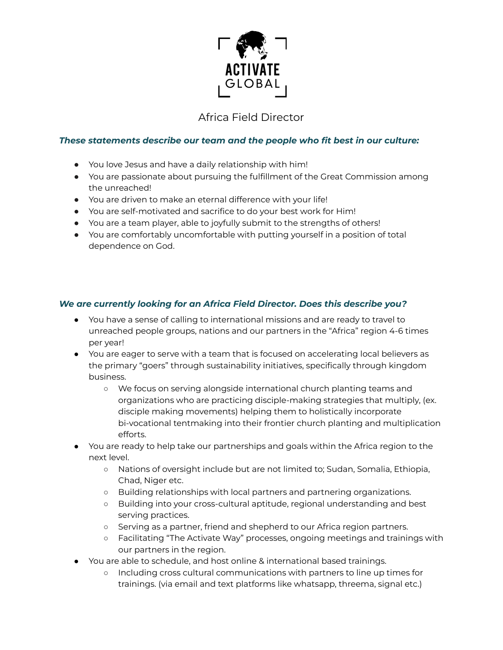

## Africa Field Director

## *These statements describe our team and the people who fit best in our culture:*

- You love Jesus and have a daily relationship with him!
- You are passionate about pursuing the fulfillment of the Great Commission among the unreached!
- You are driven to make an eternal difference with your life!
- You are self-motivated and sacrifice to do your best work for Him!
- You are a team player, able to joyfully submit to the strengths of others!
- You are comfortably uncomfortable with putting yourself in a position of total dependence on God.

## *We are currently looking for an Africa Field Director. Does this describe you?*

- You have a sense of calling to international missions and are ready to travel to unreached people groups, nations and our partners in the "Africa" region 4-6 times per year!
- You are eager to serve with a team that is focused on accelerating local believers as the primary "goers" through sustainability initiatives, specifically through kingdom business.
	- We focus on serving alongside international church planting teams and organizations who are practicing disciple-making strategies that multiply, (ex. disciple making movements) helping them to holistically incorporate bi-vocational tentmaking into their frontier church planting and multiplication efforts.
- You are ready to help take our partnerships and goals within the Africa region to the next level.
	- Nations of oversight include but are not limited to; Sudan, Somalia, Ethiopia, Chad, Niger etc.
	- Building relationships with local partners and partnering organizations.
	- Building into your cross-cultural aptitude, regional understanding and best serving practices.
	- Serving as a partner, friend and shepherd to our Africa region partners.
	- Facilitating "The Activate Way" processes, ongoing meetings and trainings with our partners in the region.
- You are able to schedule, and host online & international based trainings.
	- Including cross cultural communications with partners to line up times for trainings. (via email and text platforms like whatsapp, threema, signal etc.)